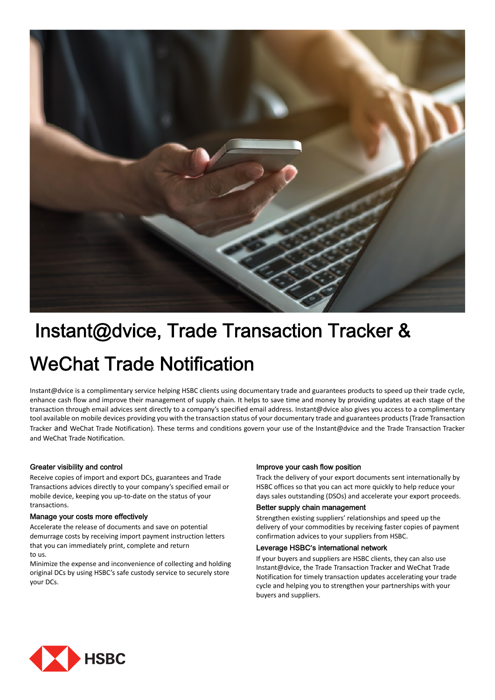

# Instant@dvice, Trade Transaction Tracker & WeChat Trade Notification

Instant@dvice is a complimentary service helping HSBC clients using documentary trade and guarantees products to speed up their trade cycle, enhance cash flow and improve their management of supply chain. It helps to save time and money by providing updates at each stage of the transaction through email advices sent directly to a company's specified email address. Instant@dvice also gives you access to a complimentary tool available on mobile devices providing you with the transaction status of your documentary trade and guarantees products (Trade Transaction Tracker and WeChat Trade Notification). These terms and conditions govern your use of the Instant@dvice and the Trade Transaction Tracker and WeChat Trade Notification.

### Greater visibility and control

Receive copies of import and export DCs, guarantees and Trade Transactions advices directly to your company's specified email or mobile device, keeping you up-to-date on the status of your transactions.

#### Manage your costs more effectively

Accelerate the release of documents and save on potential demurrage costs by receiving import payment instruction letters that you can immediately print, complete and return to us.

Minimize the expense and inconvenience of collecting and holding original DCs by using HSBC's safe custody service to securely store your DCs.

## Improve your cash flow position

Track the delivery of your export documents sent internationally by HSBC offices so that you can act more quickly to help reduce your days sales outstanding (DSOs) and accelerate your export proceeds.

### Better supply chain management

Strengthen existing suppliers' relationships and speed up the delivery of your commodities by receiving faster copies of payment confirmation advices to your suppliers from HSBC.

#### Leverage HSBC**'**s international network

If your buyers and suppliers are HSBC clients, they can also use Instant@dvice, the Trade Transaction Tracker and WeChat Trade Notification for timely transaction updates accelerating your trade cycle and helping you to strengthen your partnerships with your buyers and suppliers.